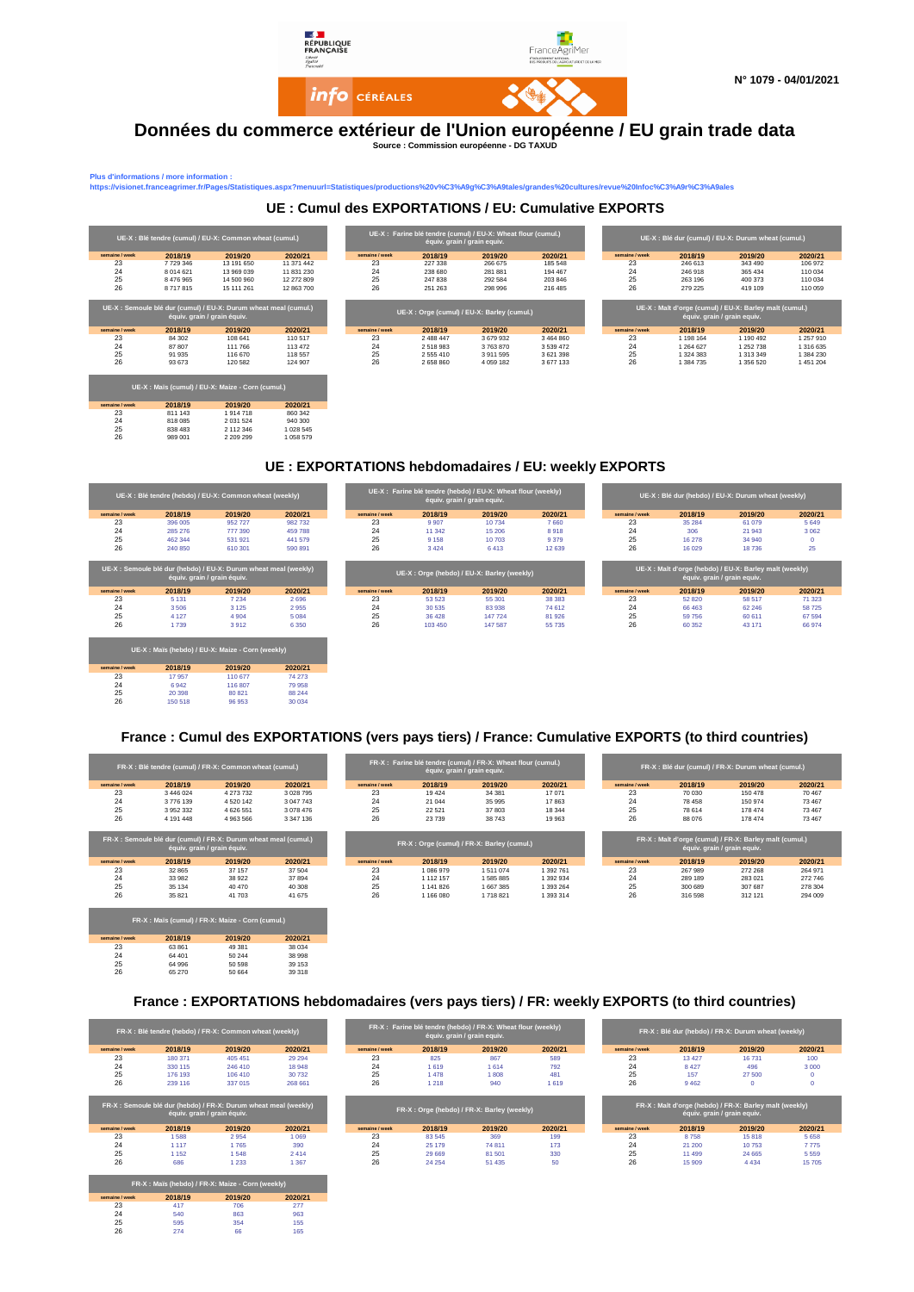

#### **Données du commerce extérieur de l'Union européenne / EU grain trade data Source : Commission européenne - DG TAXUD**

**Plus d'informations / more information :** 

**semaine / week 2018/2019/2012 2020/2020/212**<br>23 811 143 1 914 718 860 342<br>25 838 483 2 112 346 1 028 545<br>26 989 401 2 209 299 1 058 579

**semaine / week 2018/19 2019/20 2020/21** 23 63 861 49 381 38 034 24 64 401 50 244 38 998 25 64 996 50 598 39 153 26 65 270 50 664 39 318

**sine/week 2018/19 2019/20 2020/21**<br>
23 417 706 277<br>
24 540 863 963<br>
25 5955 354 155<br>
26 274 66 165 23 417 706 277 24 540 863 963 25 595 354 155 26 274 66 165

**https://visionet.franceagrimer.fr/Pages/Statistiques.aspx?menuurl=Statistiques/productions%20v%C3%A9g%C3%A9tales/grandes%20cultures/revue%20Infoc%C3%A9r%C3%A9ales**

|                |               | UE-X : Blé tendre (cumul) / EU-X: Common wheat (cumul.)                                         |            |                | équiv. grain / grain equiv. | UE-X : Farine blé tendre (cumul) / EU-X: Wheat flour (cumul.) |               |                |           | UE-X : Blé dur (cumul) / EU-X: Durum wheat (cumul.)                                    |           |
|----------------|---------------|-------------------------------------------------------------------------------------------------|------------|----------------|-----------------------------|---------------------------------------------------------------|---------------|----------------|-----------|----------------------------------------------------------------------------------------|-----------|
| semaine / week | 2018/19       | 2019/20                                                                                         | 2020/21    | semaine / week | 2018/19                     | 2019/20                                                       | 2020/21       | semaine / week | 2018/19   | 2019/20                                                                                | 2020/21   |
| 23             | 7729346       | 13 191 650                                                                                      | 11 371 442 | 23             | 227 338                     | 266 675                                                       | 185 548       | 23             | 246 613   | 343 490                                                                                | 106 972   |
| 24             | 8 0 1 4 6 2 1 | 13 969 039                                                                                      | 11 831 230 | 24             | 238 680                     | 281881                                                        | 194 467       | 24             | 246 918   | 365 434                                                                                | 110 034   |
| 25             | 8 476 965     | 14 500 960                                                                                      | 12 272 809 | 25             | 247 838                     | 292 584                                                       | 203 846       | 25             | 263 196   | 400 373                                                                                | 110 034   |
| 26             | 8717815       | 15 111 261                                                                                      | 12 863 700 | 26             | 251 263                     | 298 996                                                       |               |                |           |                                                                                        | 110 059   |
|                |               |                                                                                                 |            |                |                             |                                                               | 216 485       | 26             | 279 225   | 419 109                                                                                |           |
|                |               | UE-X : Semoule blé dur (cumul) / EU-X: Durum wheat meal (cumul.)<br>équiv. grain / grain équiv. |            |                |                             | UE-X : Orge (cumul) / EU-X: Barley (cumul.)                   |               |                |           | UE-X : Malt d'orge (cumul) / EU-X: Barley malt (cumul.)<br>équiv. grain / grain equiv. |           |
| semaine / week | 2018/19       | 2019/20                                                                                         | 2020/21    | semaine / week | 2018/19                     | 2019/20                                                       | 2020/21       | semaine / week | 2018/19   | 2019/20                                                                                | 2020/21   |
| 23             | 84 30 2       | 108 641                                                                                         | 110517     | 23             | 2 488 447                   | 3679932                                                       | 3 4 6 4 8 6 0 | 23             | 1 198 164 | 1 190 492                                                                              | 1 257 910 |
| 24             | 87 807        | 111 766                                                                                         | 113 472    | 24             | 2518983                     | 3763870                                                       | 3 5 3 9 4 7 2 | 24             | 1 264 627 | 1 252 738                                                                              | 1 316 635 |
| 25             | 91 935        | 116 670                                                                                         | 118557     | 25             | 2 5 5 4 1 0                 | 3911595                                                       | 3621398       | 25             | 1 324 383 | 1 313 349                                                                              | 1 384 230 |
| 26             | 93 673        | 120 582                                                                                         | 124 907    | 26             | 2658860                     | 4 0 59 182                                                    | 3677133       | 26             | 1 384 735 | 1 356 520                                                                              | 1451204   |

## **UE : EXPORTATIONS hebdomadaires / EU: weekly EXPORTS**



### **France : Cumul des EXPORTATIONS (vers pays tiers) / France: Cumulative EXPORTS (to third countries)**

|                      | FR-X : Blé tendre (cumul) / FR-X: Common wheat (cumul.)                                         |                                                   |                   |                | FR-X : Farine blé tendre (cumul) / FR-X: Wheat flour (cumul.) | équiv. grain / grain equiv. |           |                      | FR-X : Blé dur (cumul) / FR-X: Durum wheat (cumul.)     |                             |         |
|----------------------|-------------------------------------------------------------------------------------------------|---------------------------------------------------|-------------------|----------------|---------------------------------------------------------------|-----------------------------|-----------|----------------------|---------------------------------------------------------|-----------------------------|---------|
| semaine / week       | 2018/19                                                                                         | 2019/20                                           | 2020/21           | semaine / week | 2018/19                                                       | 2019/20                     | 2020/21   | semaine / week       | 2018/19                                                 | 2019/20                     | 2020/21 |
| 23                   | 3 446 024                                                                                       | 4 273 732                                         | 3 0 28 7 95       | 23             | 19 4 24                                                       | 34 381                      | 17071     | 23                   | 70 030                                                  | 150 478                     | 70 467  |
| 24                   | 3776139                                                                                         | 4 5 20 14 2                                       | 3 047 743         | 24             | 21 044                                                        | 35 995                      | 17863     | 24                   | 78 458                                                  | 150 974                     | 73 467  |
| 25                   | 3952332                                                                                         | 4 626 551                                         | 3 078 476         | 25             | 22 5 21                                                       | 37803                       | 18 344    | 25                   | 78 614                                                  | 178 474                     | 73 467  |
| 26                   | 4 191 448                                                                                       | 4963566                                           | 3 347 136         | 26             | 23739                                                         | 38743                       | 19 963    | 26                   | 88 076                                                  | 178 474                     | 73 467  |
|                      | FR-X : Semoule blé dur (cumul) / FR-X: Durum wheat meal (cumul.)<br>équiv. grain / grain équiv. |                                                   |                   | semaine / week | FR-X : Orge (cumul) / FR-X: Barley (cumul.)                   |                             |           |                      | FR-X : Malt d'orge (cumul) / FR-X: Barley malt (cumul.) | équiv. grain / grain equiv. |         |
| semaine / week<br>23 | 2018/19<br>32 865                                                                               | 2019/20<br>37 157                                 | 2020/21<br>37 504 | 23             | 2018/19                                                       | 2019/20                     | 2020/21   | semaine / week<br>23 | 2018/19<br>267989                                       | 2019/20<br>272 268          | 2020/21 |
|                      |                                                                                                 |                                                   |                   |                | 1086979                                                       | 1511074                     | 1 392 761 |                      |                                                         |                             | 264 971 |
| 24                   | 33 982                                                                                          | 38 922                                            | 37 894            | 24             | 1 1 1 2 1 5 7                                                 | 1585885                     | 1 392 934 | 24                   | 289 189                                                 | 283 021                     | 272 746 |
| 25                   | 35 134                                                                                          | 40 470                                            | 40 30 8           | 25             | 1 141 826                                                     | 1667385                     | 1 393 264 | 25                   | 300 689                                                 | 307 687                     | 278 304 |
| 26                   | 35 821                                                                                          | 41 703                                            | 41 675            | 26             | 1166080                                                       | 1718821                     | 1 393 314 | 26                   | 316 598                                                 | 312 121                     | 294 009 |
|                      |                                                                                                 | FR-X : Maïs (cumul) / FR-X: Maize - Corn (cumul.) |                   |                |                                                               |                             |           |                      |                                                         |                             |         |

## **France : EXPORTATIONS hebdomadaires (vers pays tiers) / FR: weekly EXPORTS (to third countries)**

| FR-X : Blé tendre (hebdo) / FR-X: Common wheat (weekly) |                             |                                                                             |         |                | équiv. grain / grain equiv. | FR-X : Farine blé tendre (hebdo) / FR-X: Wheat flour (weekly) |         | FR-X : Blé dur (hebdo) / FR-X: Durum wheat (weekly) |         |                                                                     |         |  |
|---------------------------------------------------------|-----------------------------|-----------------------------------------------------------------------------|---------|----------------|-----------------------------|---------------------------------------------------------------|---------|-----------------------------------------------------|---------|---------------------------------------------------------------------|---------|--|
| semaine / week                                          | 2018/19                     | 2019/20                                                                     | 2020/21 | semaine / week | 2018/19                     | 2019/20                                                       | 2020/21 | semaine / week                                      | 2018/19 | 2019/20                                                             | 2020/21 |  |
| 23                                                      | 180 371                     | 405 451                                                                     | 29 29 4 | 23             | 825                         | 867                                                           | 589     | 23                                                  | 13 4 27 | 16731                                                               | 100     |  |
| 24                                                      | 330 115                     | 246 410                                                                     | 18 948  | 24             | 1619                        | 1614                                                          | 792     | 24                                                  | 8 4 2 7 | 496                                                                 | 3 0 0 0 |  |
| 25                                                      | 176 193                     | 106 410                                                                     | 30 732  | 25             | 1478                        | 1808                                                          | 481     | 25                                                  | 157     | 27 500                                                              |         |  |
|                                                         |                             |                                                                             |         |                |                             |                                                               |         |                                                     |         |                                                                     |         |  |
| 26                                                      | 239 116                     | 337 015<br>FR-X : Semoule blé dur (hebdo) / FR-X: Durum wheat meal (weekly) | 268 661 | 26             | 1 2 1 8                     | 940<br>FR-X: Orge (hebdo) / FR-X: Barley (weekly)             | 1 6 1 9 | 26                                                  | 9462    | $\Omega$<br>FR-X : Malt d'orge (hebdo) / FR-X: Barley malt (weekly) |         |  |
|                                                         | équiv. grain / grain équiv. |                                                                             |         |                |                             |                                                               |         |                                                     |         | équiv. grain / grain equiv.                                         |         |  |
| semaine / week                                          | 2018/19                     | 2019/20                                                                     | 2020/21 | semaine / week | 2018/19                     | 2019/20                                                       | 2020/21 | semaine / week                                      | 2018/19 | 2019/20                                                             | 2020/21 |  |
| 23                                                      | 1588                        | 2954                                                                        | 1 0 6 9 | 23             | 83 545                      | 369                                                           | 199     | 23                                                  | 8758    | 15818                                                               | 5 6 5 8 |  |
| 24                                                      | 1 1 1 7                     | 1765                                                                        | 390     | 24             | 25 179                      | 74 811                                                        | 173     | 24                                                  | 21 200  | 10753                                                               | 7775    |  |
| 25<br>26                                                | 1 1 5 2                     | 1548                                                                        | 2414    | 25<br>26       | 29 6 69                     | 81 501                                                        | 330     | 25<br>26                                            | 11 499  | 24 6 65                                                             | 5 5 5 9 |  |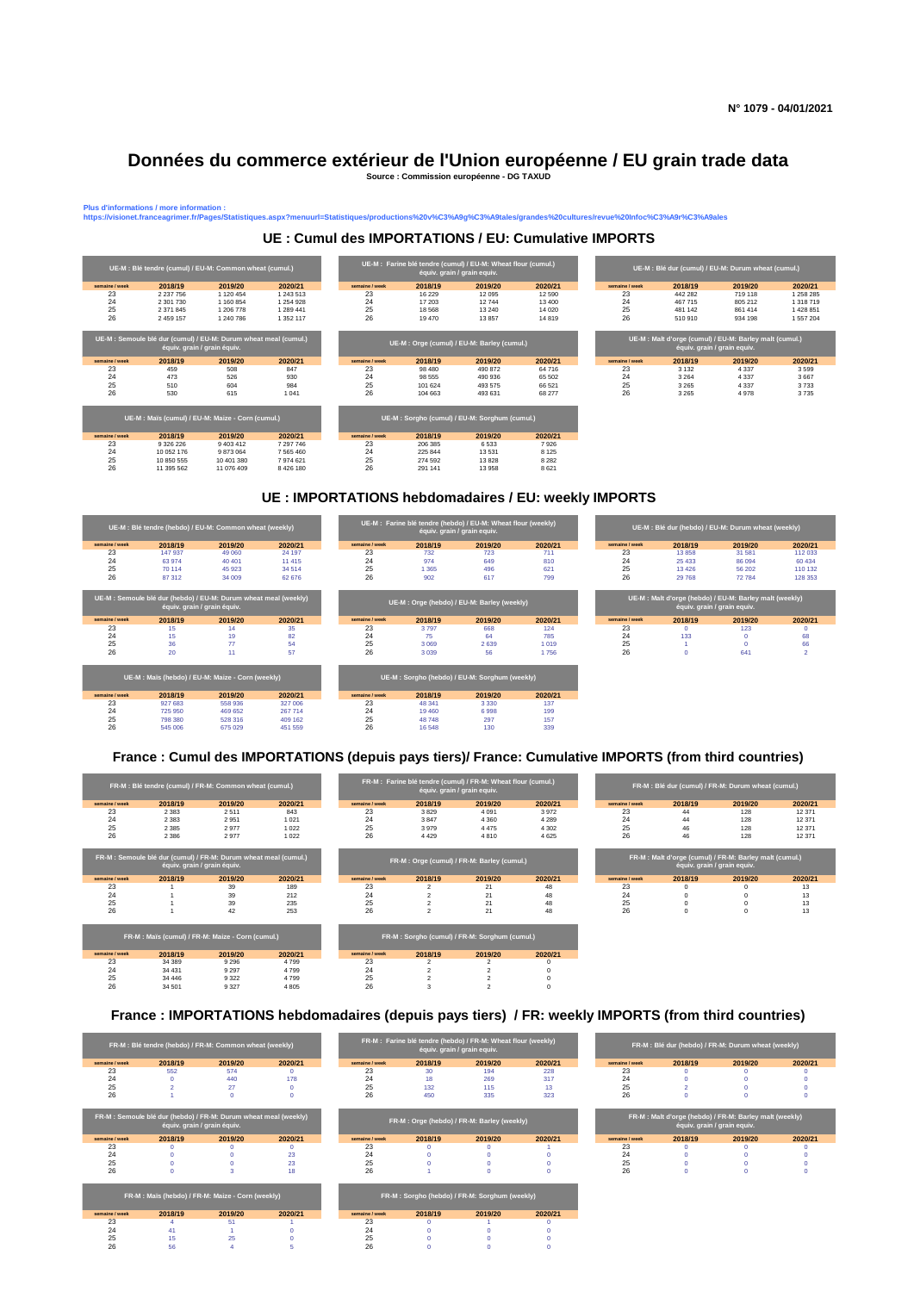## **Données du commerce extérieur de l'Union européenne / EU grain trade data**

Plus d'informations / more information :<br>https://visionet.franceagrimer.fr/Pages/Statistique

**Source : Commission européenne - DG TAXUD**



## **UE : Cumul des IMPORTATIONS / EU: Cumulative IMPORTS**

**https://visionet.franceagrimer.fr/Pages/Statistiques.aspx?menuurl=Statistiques/productions%20v%C3%A9g%C3%A9tales/grandes%20cultures/revue%20Infoc%C3%A9r%C3%A9ales**

## **UE : IMPORTATIONS hebdomadaires / EU: weekly IMPORTS**



#### **France : Cumul des IMPORTATIONS (depuis pays tiers)/ France: Cumulative IMPORTS (from third countries)**

| FR-M : Blé tendre (cumul) / FR-M: Common wheat (cumul.) |                                                                                                 |                                                   |         |                |                                            | FR-M: Farine blé tendre (cumul) / FR-M: Wheat flour (cumul.)<br>équiv. grain / grain equiv. |         |                | FR-M : Blé dur (cumul) / FR-M: Durum wheat (cumul.)    |                             |         |  |  |  |
|---------------------------------------------------------|-------------------------------------------------------------------------------------------------|---------------------------------------------------|---------|----------------|--------------------------------------------|---------------------------------------------------------------------------------------------|---------|----------------|--------------------------------------------------------|-----------------------------|---------|--|--|--|
| semaine / week                                          | 2018/19                                                                                         | 2019/20                                           | 2020/21 | semaine / week | 2018/19                                    | 2019/20                                                                                     | 2020/21 | semaine / week | 2018/19                                                | 2019/20                     | 2020/21 |  |  |  |
| 23                                                      | 2 3 8 3                                                                                         | 2511                                              | 843     | 23             | 3829                                       | 4 0 9 1                                                                                     | 3972    | 23             | 44                                                     | 128                         | 12 371  |  |  |  |
| 24                                                      | 2 3 8 3                                                                                         | 2951                                              | 1 0 2 1 | 24             | 3847                                       | 4 3 6 0                                                                                     | 4 2 8 9 | 24             | 44                                                     | 128                         | 12 371  |  |  |  |
| 25                                                      | 2 3 8 5                                                                                         | 2977                                              | 1 0 2 2 | 25             | 3979                                       | 4 4 7 5                                                                                     | 4 3 0 2 | 25             | 46                                                     | 128                         | 12 371  |  |  |  |
| 26                                                      | 2 3 8 6                                                                                         | 2977                                              | 1 0 2 2 | 26             | 4429                                       | 4810                                                                                        | 4625    | 26             | 46                                                     | 128                         | 12 371  |  |  |  |
|                                                         | FR-M : Semoule blé dur (cumul) / FR-M: Durum wheat meal (cumul.)<br>équiv. grain / grain équiv. |                                                   |         |                | FR-M: Orge (cumul) / FR-M: Barley (cumul.) |                                                                                             |         |                | FR-M: Malt d'orge (cumul) / FR-M: Barley malt (cumul.) | équiv. grain / grain equiv. |         |  |  |  |
| semaine / week                                          | 2018/19                                                                                         | 2019/20                                           | 2020/21 | semaine / week | 2018/19                                    | 2019/20                                                                                     | 2020/21 | semaine / week | 2018/19                                                | 2019/20                     | 2020/21 |  |  |  |
| 23                                                      |                                                                                                 | 39                                                | 189     | 23             | $\overline{2}$                             | 21                                                                                          | 48      | 23             |                                                        |                             | 13      |  |  |  |
| 24                                                      |                                                                                                 | 39                                                | 212     | 24             | $\overline{2}$                             | 21                                                                                          | 48      | 24             |                                                        |                             | 13      |  |  |  |
| 25                                                      |                                                                                                 | 39                                                | 235     | 25             | $\overline{2}$                             | 21                                                                                          | 48      | 25             | $\Omega$                                               | $\Omega$                    | 13      |  |  |  |
| 26                                                      |                                                                                                 | 42                                                | 253     | 26             | $\overline{2}$                             | 21                                                                                          | 48      | 26             | $\mathbf 0$                                            | $\Omega$                    | 13      |  |  |  |
|                                                         |                                                                                                 | FR-M : Maïs (cumul) / FR-M: Maize - Corn (cumul.) |         |                |                                            | FR-M: Sorgho (cumul) / FR-M: Sorghum (cumul.)                                               |         |                |                                                        |                             |         |  |  |  |
| semaine / week                                          | 2018/19                                                                                         | 2019/20                                           | 2020/21 | semaine / week | 2018/19                                    | 2019/20                                                                                     | 2020/21 |                |                                                        |                             |         |  |  |  |
| 23                                                      | 34 389                                                                                          | 9 2 9 6                                           | 4799    | 23             | $\mathfrak{p}$                             |                                                                                             |         |                |                                                        |                             |         |  |  |  |
| 24                                                      | 34 4 31                                                                                         | 9 2 9 7                                           | 4799    | 24             | $\overline{2}$                             |                                                                                             |         |                |                                                        |                             |         |  |  |  |
| 25                                                      | 34 446                                                                                          | 9322                                              | 4799    | 25             | $\overline{2}$                             |                                                                                             |         |                |                                                        |                             |         |  |  |  |
| 26                                                      | 34 501                                                                                          | 9327                                              | 4 8 0 5 | 26             | 3                                          | $\overline{\phantom{a}}$                                                                    |         |                |                                                        |                             |         |  |  |  |

## **France : IMPORTATIONS hebdomadaires (depuis pays tiers) / FR: weekly IMPORTS (from third countries)**

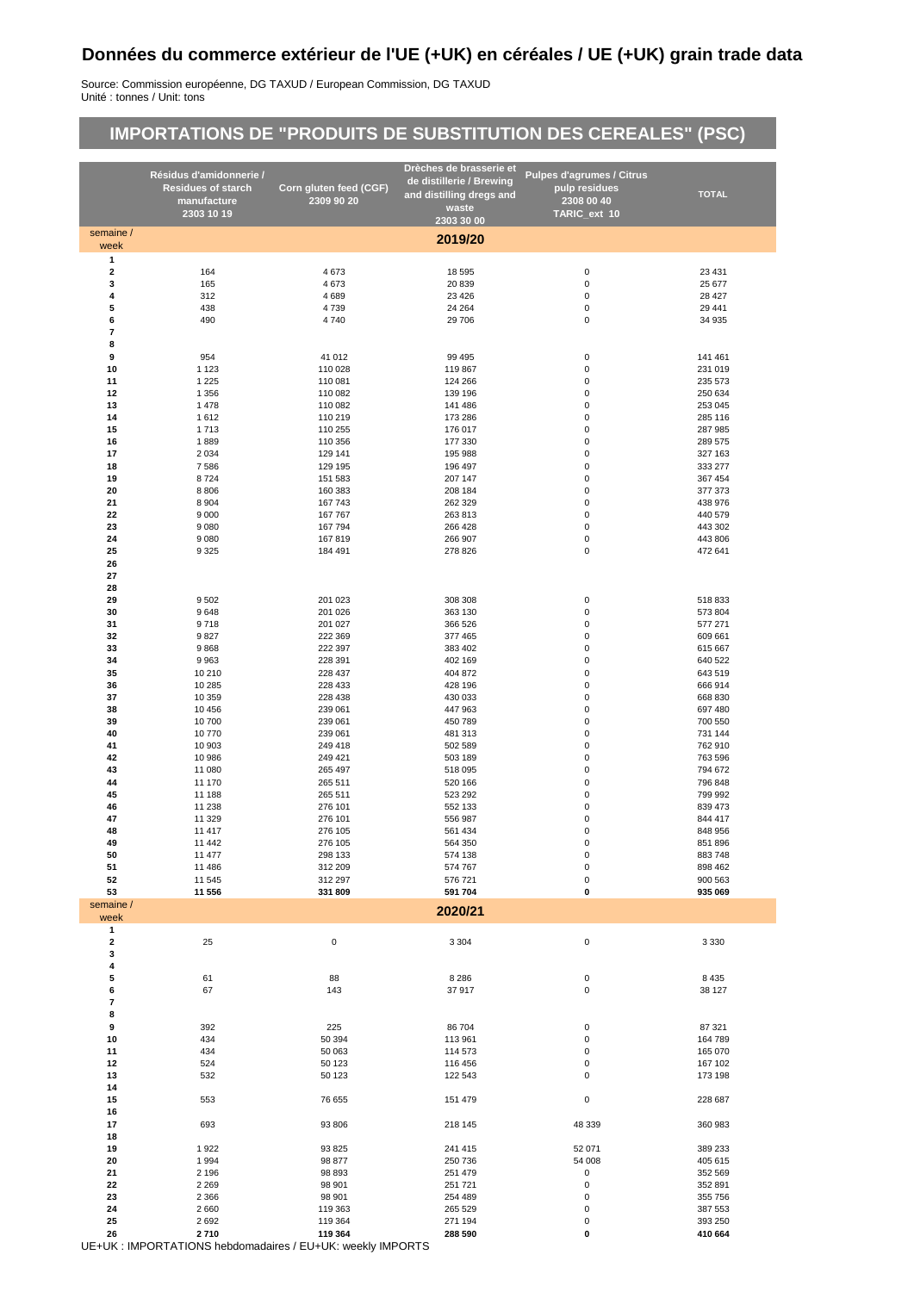## **Données du commerce extérieur de l'UE (+UK) en céréales / UE (+UK) grain trade data**

Source: Commission européenne, DG TAXUD / European Commission, DG TAXUD Unité : tonnes / Unit: tons

# **IMPORTATIONS DE "PRODUITS DE SUBSTITUTION DES CEREALES" (PSC)**

|                      | Résidus d'amidonnerie /   |                        | Drèches de brasserie et                              | <b>Pulpes d'agrumes / Citrus</b> |                    |
|----------------------|---------------------------|------------------------|------------------------------------------------------|----------------------------------|--------------------|
|                      | <b>Residues of starch</b> | Corn gluten feed (CGF) | de distillerie / Brewing<br>and distilling dregs and | pulp residues                    | <b>TOTAL</b>       |
|                      | manufacture               | 2309 90 20             | waste                                                | 2308 00 40                       |                    |
|                      | 2303 10 19                |                        | 2303 30 00                                           | TARIC_ext 10                     |                    |
| semaine /<br>week    |                           |                        | 2019/20                                              |                                  |                    |
| 1                    |                           |                        |                                                      |                                  |                    |
| 2                    | 164                       | 4673                   | 18 5 95                                              | $\pmb{0}$                        | 23 4 31            |
| 3<br>4               | 165<br>312                | 4673<br>4689           | 20 839<br>23 4 26                                    | $\pmb{0}$<br>$\pmb{0}$           | 25 677<br>28 4 27  |
| 5                    | 438                       | 4739                   | 24 264                                               | $\pmb{0}$                        | 29 441             |
| 6                    | 490                       | 4740                   | 29 706                                               | $\pmb{0}$                        | 34 935             |
| 7                    |                           |                        |                                                      |                                  |                    |
| 8<br>9               | 954                       | 41 012                 | 99 4 95                                              | 0                                | 141 461            |
| 10                   | 1 1 2 3                   | 110 028                | 119 867                                              | $\pmb{0}$                        | 231 019            |
| 11                   | 1 2 2 5                   | 110 081                | 124 266                                              | $\pmb{0}$                        | 235 573            |
| 12                   | 1 3 5 6                   | 110 082                | 139 196                                              | $\pmb{0}$                        | 250 634            |
| 13<br>14             | 1478<br>1612              | 110 082<br>110 219     | 141 486<br>173 286                                   | $\pmb{0}$<br>$\pmb{0}$           | 253 045<br>285 116 |
| 15                   | 1713                      | 110 255                | 176 017                                              | $\pmb{0}$                        | 287 985            |
| 16                   | 1889                      | 110 356                | 177 330                                              | $\pmb{0}$                        | 289 575            |
| 17                   | 2 0 3 4                   | 129 141                | 195 988                                              | $\pmb{0}$                        | 327 163            |
| 18                   | 7586                      | 129 195                | 196 497                                              | $\pmb{0}$                        | 333 277            |
| 19<br>20             | 8724<br>8806              | 151 583<br>160 383     | 207 147<br>208 184                                   | $\pmb{0}$<br>$\pmb{0}$           | 367 454<br>377 373 |
| 21                   | 8 9 0 4                   | 167 743                | 262 329                                              | $\pmb{0}$                        | 438 976            |
| 22                   | 9 0 0 0                   | 167 767                | 263 813                                              | $\pmb{0}$                        | 440 579            |
| 23                   | 9080                      | 167 794                | 266 428                                              | $\pmb{0}$                        | 443 302            |
| 24<br>25             | 9 0 8 0<br>9 3 2 5        | 167819<br>184 491      | 266 907<br>278 826                                   | $\pmb{0}$<br>$\pmb{0}$           | 443 806<br>472 641 |
| 26                   |                           |                        |                                                      |                                  |                    |
| 27                   |                           |                        |                                                      |                                  |                    |
| 28                   |                           |                        |                                                      |                                  |                    |
| 29<br>30             | 9502                      | 201 023                | 308 308                                              | 0<br>$\pmb{0}$                   | 518833             |
| 31                   | 9648<br>9718              | 201 026<br>201 027     | 363 130<br>366 526                                   | $\pmb{0}$                        | 573 804<br>577 271 |
| 32                   | 9827                      | 222 369                | 377 465                                              | $\pmb{0}$                        | 609 661            |
| 33                   | 9868                      | 222 397                | 383 402                                              | $\pmb{0}$                        | 615 667            |
| 34                   | 9963                      | 228 391                | 402 169                                              | $\pmb{0}$                        | 640 522            |
| 35<br>36             | 10 210<br>10 285          | 228 437<br>228 433     | 404 872<br>428 196                                   | $\pmb{0}$<br>$\pmb{0}$           | 643 519<br>666 914 |
| 37                   | 10 359                    | 228 438                | 430 033                                              | $\pmb{0}$                        | 668 830            |
| 38                   | 10 456                    | 239 061                | 447 963                                              | $\pmb{0}$                        | 697 480            |
| 39                   | 10700                     | 239 061                | 450 789                                              | $\pmb{0}$                        | 700 550            |
| 40                   | 10770                     | 239 061                | 481 313                                              | $\pmb{0}$                        | 731 144            |
| 41<br>42             | 10 903<br>10 986          | 249 418<br>249 421     | 502 589<br>503 189                                   | $\pmb{0}$<br>$\pmb{0}$           | 762 910<br>763 596 |
| 43                   | 11 080                    | 265 497                | 518 095                                              | $\pmb{0}$                        | 794 672            |
| 44                   | 11 170                    | 265 511                | 520 166                                              | $\pmb{0}$                        | 796 848            |
| 45                   | 11 188                    | 265 511                | 523 292                                              | $\pmb{0}$                        | 799 992            |
| 46<br>47             | 11 238<br>11 329          | 276 101<br>276 101     | 552 133<br>556 987                                   | 0<br>$\pmb{0}$                   | 839 473<br>844 417 |
| 48                   | 11 417                    | 276 105                | 561 434                                              | $\mathbf 0$                      | 848 956            |
| 49                   | 11 442                    | 276 105                | 564 350                                              | $\mathbf 0$                      | 851 896            |
| 50                   | 11 477                    | 298 133                | 574 138                                              | $\pmb{0}$                        | 883748             |
| 51<br>52             | 11 486<br>11 545          | 312 209<br>312 297     | 574 767<br>576 721                                   | $\mathbf 0$<br>$\pmb{0}$         | 898 462<br>900 563 |
| 53                   | 11 556                    | 331 809                | 591 704                                              | 0                                | 935 069            |
| semaine /            |                           |                        | 2020/21                                              |                                  |                    |
| week<br>$\mathbf{1}$ |                           |                        |                                                      |                                  |                    |
| 2                    | 25                        | $\pmb{0}$              | 3 3 0 4                                              | 0                                | 3 3 3 0            |
| 3                    |                           |                        |                                                      |                                  |                    |
| 4                    |                           |                        |                                                      |                                  |                    |
| 5                    | 61                        | 88                     | 8 2 8 6                                              | 0                                | 8 4 3 5            |
| 6<br>7               | 67                        | 143                    | 37917                                                | $\pmb{0}$                        | 38 127             |
| 8                    |                           |                        |                                                      |                                  |                    |
| 9                    | 392                       | 225                    | 86704                                                | 0                                | 87 321             |
| 10                   | 434                       | 50 394                 | 113 961                                              | $\pmb{0}$                        | 164789             |
| 11<br>12             | 434<br>524                | 50 063<br>50 123       | 114 573<br>116 456                                   | $\pmb{0}$<br>0                   | 165 070<br>167 102 |
| 13                   | 532                       | 50 123                 | 122 543                                              | 0                                | 173 198            |
| 14                   |                           |                        |                                                      |                                  |                    |
| 15                   | 553                       | 76 655                 | 151 479                                              | $\pmb{0}$                        | 228 687            |
| 16                   |                           |                        |                                                      |                                  |                    |
| 17<br>18             | 693                       | 93 806                 | 218 145                                              | 48 339                           | 360 983            |
| 19                   | 1922                      | 93 825                 | 241 415                                              | 52 071                           | 389 233            |
| 20                   | 1994                      | 98 877                 | 250 736                                              | 54 008                           | 405 615            |
| 21                   | 2 1 9 6                   | 98 893                 | 251 479                                              | 0                                | 352 569            |
| 22<br>23             | 2 2 6 9<br>2 3 6 6        | 98 901<br>98 901       | 251 721<br>254 489                                   | $\pmb{0}$<br>0                   | 352 891<br>355 756 |
| 24                   | 2660                      | 119 363                | 265 529                                              | 0                                | 387 553            |
| 25                   | 2692                      | 119 364                | 271 194                                              | $\pmb{0}$                        | 393 250            |
| 26                   | 2710                      | 119 364                | 288 590                                              | 0                                | 410 664            |

UE+UK : IMPORTATIONS hebdomadaires / EU+UK: weekly IMPORTS